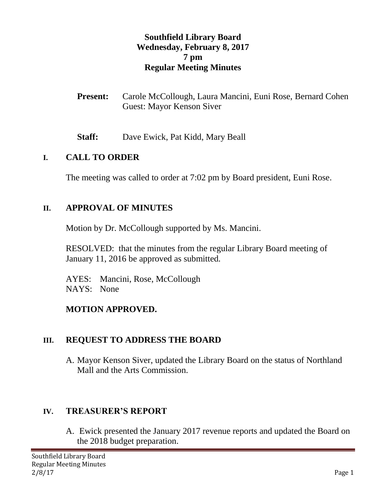### **Southfield Library Board Wednesday, February 8, 2017 7 pm Regular Meeting Minutes**

- **Present:** Carole McCollough, Laura Mancini, Euni Rose, Bernard Cohen Guest: Mayor Kenson Siver
- **Staff:** Dave Ewick, Pat Kidd, Mary Beall

#### **I. CALL TO ORDER**

The meeting was called to order at 7:02 pm by Board president, Euni Rose.

#### **II. APPROVAL OF MINUTES**

Motion by Dr. McCollough supported by Ms. Mancini.

RESOLVED: that the minutes from the regular Library Board meeting of January 11, 2016 be approved as submitted.

AYES: Mancini, Rose, McCollough NAYS: None

#### **MOTION APPROVED.**

#### **III. REQUEST TO ADDRESS THE BOARD**

A. Mayor Kenson Siver, updated the Library Board on the status of Northland Mall and the Arts Commission.

#### **IV. TREASURER'S REPORT**

A. Ewick presented the January 2017 revenue reports and updated the Board on the 2018 budget preparation.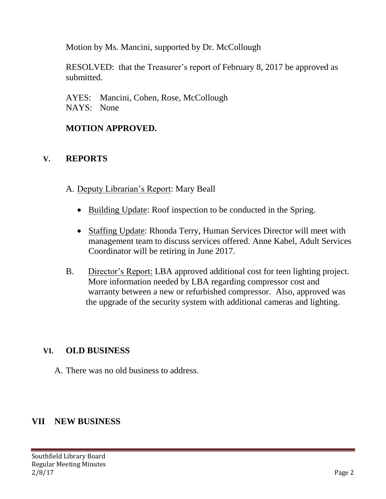Motion by Ms. Mancini, supported by Dr. McCollough

RESOLVED: that the Treasurer's report of February 8, 2017 be approved as submitted.

AYES: Mancini, Cohen, Rose, McCollough NAYS: None

## **MOTION APPROVED.**

### **V. REPORTS**

- A. Deputy Librarian's Report: Mary Beall
	- Building Update: Roof inspection to be conducted in the Spring.
	- Staffing Update: Rhonda Terry, Human Services Director will meet with management team to discuss services offered. Anne Kabel, Adult Services Coordinator will be retiring in June 2017.
- B. Director's Report: LBA approved additional cost for teen lighting project. More information needed by LBA regarding compressor cost and warranty between a new or refurbished compressor. Also, approved was the upgrade of the security system with additional cameras and lighting.

## **VI. OLD BUSINESS**

A. There was no old business to address.

## **VII NEW BUSINESS**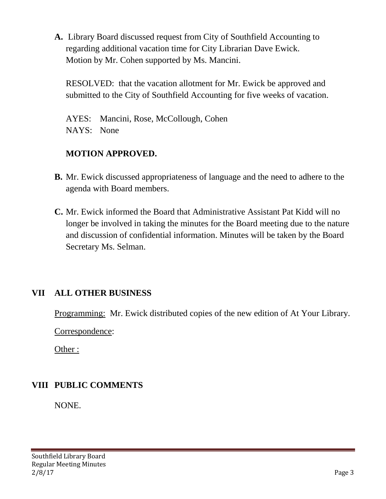**A.** Library Board discussed request from City of Southfield Accounting to regarding additional vacation time for City Librarian Dave Ewick. Motion by Mr. Cohen supported by Ms. Mancini.

RESOLVED: that the vacation allotment for Mr. Ewick be approved and submitted to the City of Southfield Accounting for five weeks of vacation.

AYES: Mancini, Rose, McCollough, Cohen NAYS: None

## **MOTION APPROVED.**

- **B.** Mr. Ewick discussed appropriateness of language and the need to adhere to the agenda with Board members.
- **C.** Mr. Ewick informed the Board that Administrative Assistant Pat Kidd will no longer be involved in taking the minutes for the Board meeting due to the nature and discussion of confidential information. Minutes will be taken by the Board Secretary Ms. Selman.

## **VII ALL OTHER BUSINESS**

Programming: Mr. Ewick distributed copies of the new edition of At Your Library.

Correspondence:

Other :

# **VIII PUBLIC COMMENTS**

NONE.